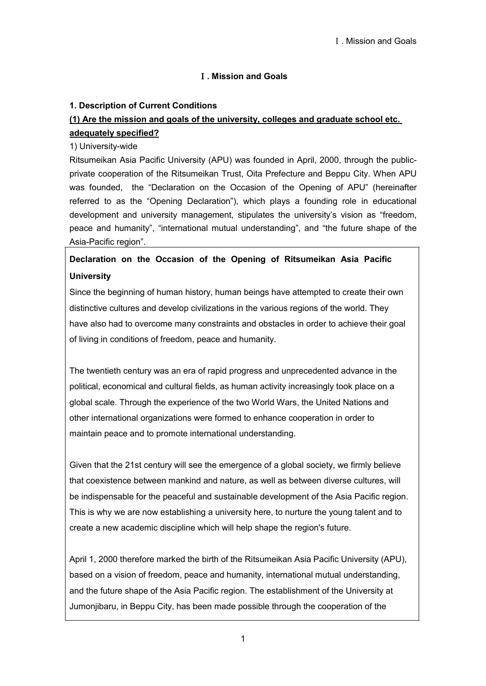# **1. Description of Current Conditions**

# **(1) Are the mission and goals of the university, colleges and graduate school etc. adequately specified?**

## 1) University-wide

Ritsumeikan Asia Pacific University (APU) was founded in April, 2000, through the publicprivate cooperation of the Ritsumeikan Trust, Oita Prefecture and Beppu City. When APU was founded, the "Declaration on the Occasion of the Opening of APU" (hereinafter referred to as the "Opening Declaration"), which plays a founding role in educational development and university management, stipulates the university's vision as "freedom, peace and humanity", "international mutual understanding", and "the future shape of the Asia-Pacific region".

# **Declaration on the Occasion of the Opening of Ritsumeikan Asia Pacific University**

Since the beginning of human history, human beings have attempted to create their own distinctive cultures and develop civilizations in the various regions of the world. They have also had to overcome many constraints and obstacles in order to achieve their goal of living in conditions of freedom, peace and humanity.

The twentieth century was an era of rapid progress and unprecedented advance in the political, economical and cultural fields, as human activity increasingly took place on a global scale. Through the experience of the two World Wars, the United Nations and other international organizations were formed to enhance cooperation in order to maintain peace and to promote international understanding.

Given that the 21st century will see the emergence of a global society, we firmly believe that coexistence between mankind and nature, as well as between diverse cultures, will be indispensable for the peaceful and sustainable development of the Asia Pacific region. This is why we are now establishing a university here, to nurture the young talent and to create a new academic discipline which will help shape the region's future.

April 1, 2000 therefore marked the birth of the Ritsumeikan Asia Pacific University (APU), based on a vision of freedom, peace and humanity, international mutual understanding, and the future shape of the Asia Pacific region. The establishment of the University at Jumonjibaru, in Beppu City, has been made possible through the cooperation of the

1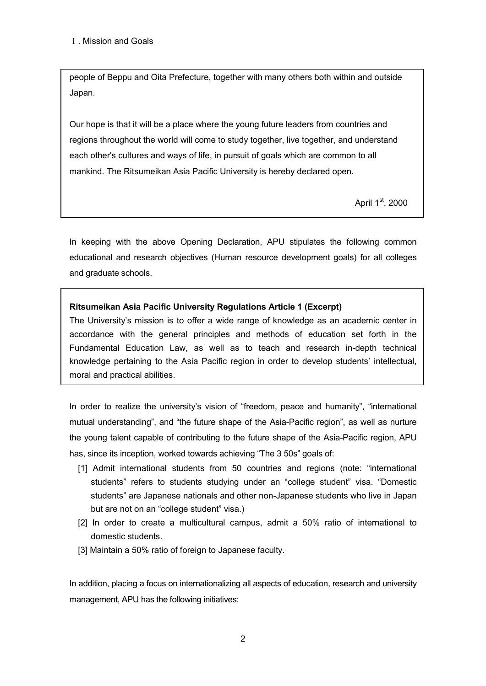people of Beppu and Oita Prefecture, together with many others both within and outside Japan.

Our hope is that it will be a place where the young future leaders from countries and regions throughout the world will come to study together, live together, and understand each other's cultures and ways of life, in pursuit of goals which are common to all mankind. The Ritsumeikan Asia Pacific University is hereby declared open.

April 1<sup>st</sup>, 2000

In keeping with the above Opening Declaration, APU stipulates the following common educational and research objectives (Human resource development goals) for all colleges and graduate schools.

# **Ritsumeikan Asia Pacific University Regulations Article 1 (Excerpt)**

The University's mission is to offer a wide range of knowledge as an academic center in accordance with the general principles and methods of education set forth in the Fundamental Education Law, as well as to teach and research in-depth technical knowledge pertaining to the Asia Pacific region in order to develop students' intellectual, moral and practical abilities.

In order to realize the university's vision of "freedom, peace and humanity", "international mutual understanding", and "the future shape of the Asia-Pacific region", as well as nurture the young talent capable of contributing to the future shape of the Asia-Pacific region, APU has, since its inception, worked towards achieving "The 3 50s" goals of:

- [1] Admit international students from 50 countries and regions (note: "international students" refers to students studying under an "college student" visa. "Domestic students" are Japanese nationals and other non-Japanese students who live in Japan but are not on an "college student" visa.)
- [2] In order to create a multicultural campus, admit a 50% ratio of international to domestic students.
- [3] Maintain a 50% ratio of foreign to Japanese faculty.

In addition, placing a focus on internationalizing all aspects of education, research and university management, APU has the following initiatives: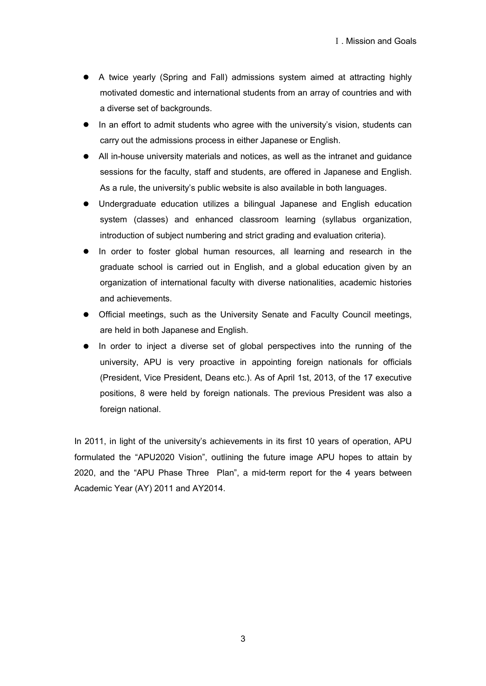- A twice yearly (Spring and Fall) admissions system aimed at attracting highly motivated domestic and international students from an array of countries and with a diverse set of backgrounds.
- In an effort to admit students who agree with the university's vision, students can carry out the admissions process in either Japanese or English.
- All in-house university materials and notices, as well as the intranet and guidance sessions for the faculty, staff and students, are offered in Japanese and English. As a rule, the university's public website is also available in both languages.
- Undergraduate education utilizes a bilingual Japanese and English education system (classes) and enhanced classroom learning (syllabus organization, introduction of subject numbering and strict grading and evaluation criteria).
- In order to foster global human resources, all learning and research in the graduate school is carried out in English, and a global education given by an organization of international faculty with diverse nationalities, academic histories and achievements.
- Official meetings, such as the University Senate and Faculty Council meetings, are held in both Japanese and English.
- In order to inject a diverse set of global perspectives into the running of the university, APU is very proactive in appointing foreign nationals for officials (President, Vice President, Deans etc.). As of April 1st, 2013, of the 17 executive positions, 8 were held by foreign nationals. The previous President was also a foreign national.

In 2011, in light of the university's achievements in its first 10 years of operation, APU formulated the "APU2020 Vision", outlining the future image APU hopes to attain by 2020, and the "APU Phase Three Plan", a mid-term report for the 4 years between Academic Year (AY) 2011 and AY2014.

3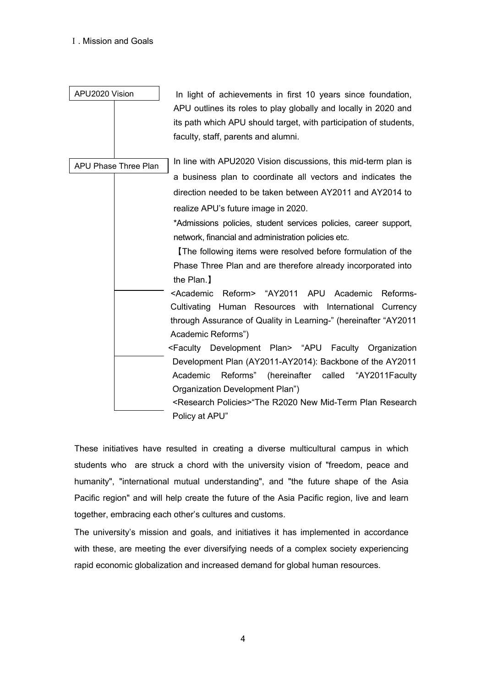| APU2020 Vision |                      | In light of achievements in first 10 years since foundation,<br>APU outlines its roles to play globally and locally in 2020 and<br>its path which APU should target, with participation of students,<br>faculty, staff, parents and alumni. |
|----------------|----------------------|---------------------------------------------------------------------------------------------------------------------------------------------------------------------------------------------------------------------------------------------|
|                | APU Phase Three Plan | In line with APU2020 Vision discussions, this mid-term plan is                                                                                                                                                                              |
|                |                      | a business plan to coordinate all vectors and indicates the                                                                                                                                                                                 |
|                |                      | direction needed to be taken between AY2011 and AY2014 to                                                                                                                                                                                   |
|                |                      | realize APU's future image in 2020.                                                                                                                                                                                                         |
|                |                      | *Admissions policies, student services policies, career support,                                                                                                                                                                            |
|                |                      | network, financial and administration policies etc.                                                                                                                                                                                         |
|                |                      | The following items were resolved before formulation of the                                                                                                                                                                                 |
|                |                      | Phase Three Plan and are therefore already incorporated into                                                                                                                                                                                |
|                |                      | the Plan.                                                                                                                                                                                                                                   |
|                |                      | <academic<br>Reform&gt; "AY2011<br/>APU<br/>Academic<br/>Reforms-</academic<br>                                                                                                                                                             |
|                |                      | Cultivating Human Resources with International Currency                                                                                                                                                                                     |
|                |                      | through Assurance of Quality in Learning-" (hereinafter "AY2011                                                                                                                                                                             |
|                |                      | Academic Reforms")                                                                                                                                                                                                                          |
|                |                      | <faculty development="" plan=""> "APU Faculty Organization</faculty>                                                                                                                                                                        |
|                |                      | Development Plan (AY2011-AY2014): Backbone of the AY2011                                                                                                                                                                                    |
|                |                      | Academic<br>Reforms"<br>(hereinafter called "AY2011Faculty                                                                                                                                                                                  |
|                |                      | Organization Development Plan")                                                                                                                                                                                                             |
|                |                      | <research policies="">"The R2020 New Mid-Term Plan Research</research>                                                                                                                                                                      |
|                |                      | Policy at APU"                                                                                                                                                                                                                              |

These initiatives have resulted in creating a diverse multicultural campus in which students who are struck a chord with the university vision of "freedom, peace and humanity", "international mutual understanding", and "the future shape of the Asia Pacific region" and will help create the future of the Asia Pacific region, live and learn together, embracing each other's cultures and customs.

The university's mission and goals, and initiatives it has implemented in accordance with these, are meeting the ever diversifying needs of a complex society experiencing rapid economic globalization and increased demand for global human resources.

4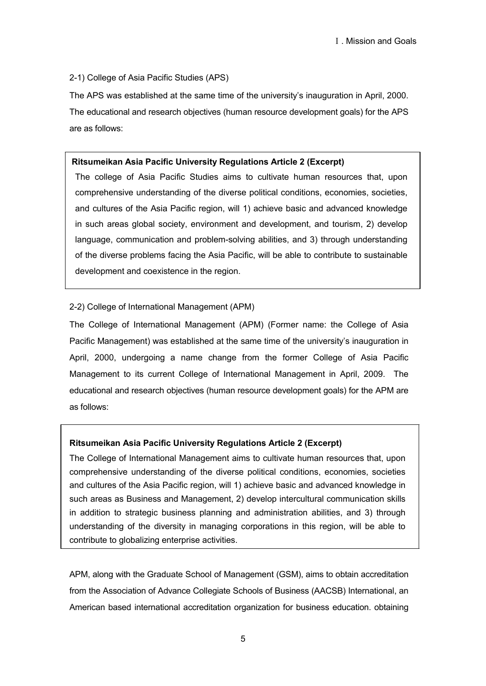#### 2-1) College of Asia Pacific Studies (APS)

The APS was established at the same time of the university's inauguration in April, 2000. The educational and research objectives (human resource development goals) for the APS are as follows:

#### **Ritsumeikan Asia Pacific University Regulations Article 2 (Excerpt)**

The college of Asia Pacific Studies aims to cultivate human resources that, upon comprehensive understanding of the diverse political conditions, economies, societies, and cultures of the Asia Pacific region, will 1) achieve basic and advanced knowledge in such areas global society, environment and development, and tourism, 2) develop language, communication and problem-solving abilities, and 3) through understanding of the diverse problems facing the Asia Pacific, will be able to contribute to sustainable development and coexistence in the region.

#### 2-2) College of International Management (APM)

The College of International Management (APM) (Former name: the College of Asia Pacific Management) was established at the same time of the university's inauguration in April, 2000, undergoing a name change from the former College of Asia Pacific Management to its current College of International Management in April, 2009. The educational and research objectives (human resource development goals) for the APM are as follows:

#### **Ritsumeikan Asia Pacific University Regulations Article 2 (Excerpt)**

The College of International Management aims to cultivate human resources that, upon comprehensive understanding of the diverse political conditions, economies, societies and cultures of the Asia Pacific region, will 1) achieve basic and advanced knowledge in such areas as Business and Management, 2) develop intercultural communication skills in addition to strategic business planning and administration abilities, and 3) through understanding of the diversity in managing corporations in this region, will be able to contribute to globalizing enterprise activities.

APM, along with the Graduate School of Management (GSM), aims to obtain accreditation from the Association of Advance Collegiate Schools of Business (AACSB) International, an American based international accreditation organization for business education. obtaining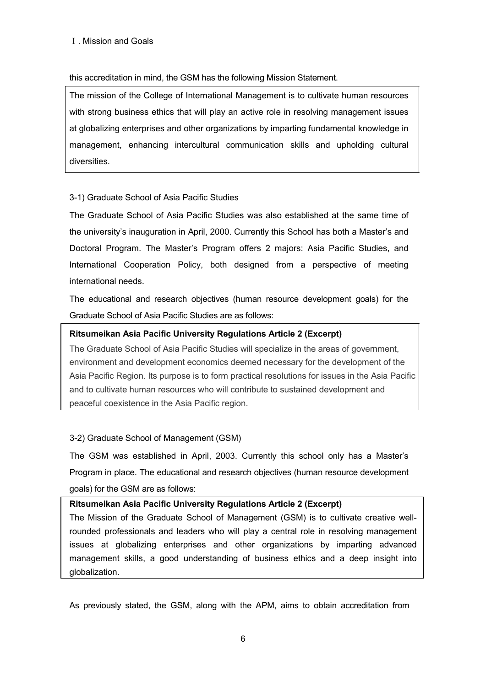# this accreditation in mind, the GSM has the following Mission Statement.

The mission of the College of International Management is to cultivate human resources with strong business ethics that will play an active role in resolving management issues at globalizing enterprises and other organizations by imparting fundamental knowledge in management, enhancing intercultural communication skills and upholding cultural diversities.

# 3-1) Graduate School of Asia Pacific Studies

The Graduate School of Asia Pacific Studies was also established at the same time of the university's inauguration in April, 2000. Currently this School has both a Master's and Doctoral Program. The Master's Program offers 2 majors: Asia Pacific Studies, and International Cooperation Policy, both designed from a perspective of meeting international needs.

The educational and research objectives (human resource development goals) for the Graduate School of Asia Pacific Studies are as follows:

# **Ritsumeikan Asia Pacific University Regulations Article 2 (Excerpt)**

The Graduate School of Asia Pacific Studies will specialize in the areas of government, environment and development economics deemed necessary for the development of the Asia Pacific Region. Its purpose is to form practical resolutions for issues in the Asia Pacific and to cultivate human resources who will contribute to sustained development and peaceful coexistence in the Asia Pacific region.

#### 3-2) Graduate School of Management (GSM)

The GSM was established in April, 2003. Currently this school only has a Master's Program in place. The educational and research objectives (human resource development goals) for the GSM are as follows:

### **Ritsumeikan Asia Pacific University Regulations Article 2 (Excerpt)**

The Mission of the Graduate School of Management (GSM) is to cultivate creative wellrounded professionals and leaders who will play a central role in resolving management issues at globalizing enterprises and other organizations by imparting advanced management skills, a good understanding of business ethics and a deep insight into globalization.

As previously stated, the GSM, along with the APM, aims to obtain accreditation from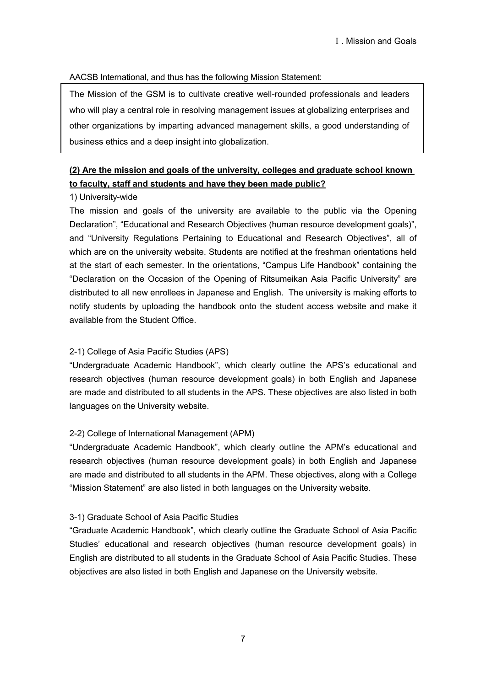## AACSB International, and thus has the following Mission Statement:

The Mission of the GSM is to cultivate creative well-rounded professionals and leaders who will play a central role in resolving management issues at globalizing enterprises and other organizations by imparting advanced management skills, a good understanding of business ethics and a deep insight into globalization.

# **(2) Are the mission and goals of the university, colleges and graduate school known to faculty, staff and students and have they been made public?**

### 1) University-wide

The mission and goals of the university are available to the public via the Opening Declaration", "Educational and Research Objectives (human resource development goals)", and "University Regulations Pertaining to Educational and Research Objectives", all of which are on the university website. Students are notified at the freshman orientations held at the start of each semester. In the orientations, "Campus Life Handbook" containing the "Declaration on the Occasion of the Opening of Ritsumeikan Asia Pacific University" are distributed to all new enrollees in Japanese and English. The university is making efforts to notify students by uploading the handbook onto the student access website and make it available from the Student Office.

# 2-1) College of Asia Pacific Studies (APS)

"Undergraduate Academic Handbook", which clearly outline the APS's educational and research objectives (human resource development goals) in both English and Japanese are made and distributed to all students in the APS. These objectives are also listed in both languages on the University website.

# 2-2) College of International Management (APM)

"Undergraduate Academic Handbook", which clearly outline the APM's educational and research objectives (human resource development goals) in both English and Japanese are made and distributed to all students in the APM. These objectives, along with a College "Mission Statement" are also listed in both languages on the University website.

#### 3-1) Graduate School of Asia Pacific Studies

"Graduate Academic Handbook", which clearly outline the Graduate School of Asia Pacific Studies' educational and research objectives (human resource development goals) in English are distributed to all students in the Graduate School of Asia Pacific Studies. These objectives are also listed in both English and Japanese on the University website.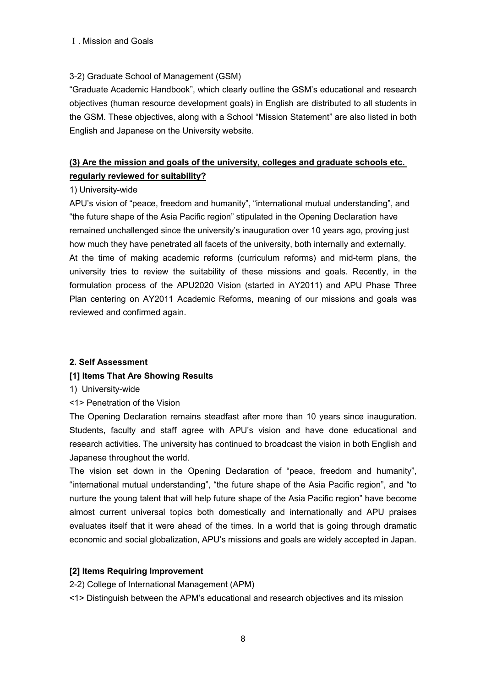# 3-2) Graduate School of Management (GSM)

"Graduate Academic Handbook", which clearly outline the GSM's educational and research objectives (human resource development goals) in English are distributed to all students in the GSM. These objectives, along with a School "Mission Statement" are also listed in both English and Japanese on the University website.

# **(3) Are the mission and goals of the university, colleges and graduate schools etc. regularly reviewed for suitability?**

### 1) University-wide

APU's vision of "peace, freedom and humanity", "international mutual understanding", and "the future shape of the Asia Pacific region" stipulated in the Opening Declaration have remained unchallenged since the university's inauguration over 10 years ago, proving just how much they have penetrated all facets of the university, both internally and externally. At the time of making academic reforms (curriculum reforms) and mid-term plans, the university tries to review the suitability of these missions and goals. Recently, in the formulation process of the APU2020 Vision (started in AY2011) and APU Phase Three Plan centering on AY2011 Academic Reforms, meaning of our missions and goals was reviewed and confirmed again.

# **2. Self Assessment**

# **[1] Items That Are Showing Results**

1) University-wide

<1> Penetration of the Vision

The Opening Declaration remains steadfast after more than 10 years since inauguration. Students, faculty and staff agree with APU's vision and have done educational and research activities. The university has continued to broadcast the vision in both English and Japanese throughout the world.

The vision set down in the Opening Declaration of "peace, freedom and humanity", "international mutual understanding", "the future shape of the Asia Pacific region", and "to nurture the young talent that will help future shape of the Asia Pacific region" have become almost current universal topics both domestically and internationally and APU praises evaluates itself that it were ahead of the times. In a world that is going through dramatic economic and social globalization, APU's missions and goals are widely accepted in Japan.

# **[2] Items Requiring Improvement**

2-2) College of International Management (APM)

<1> Distinguish between the APM's educational and research objectives and its mission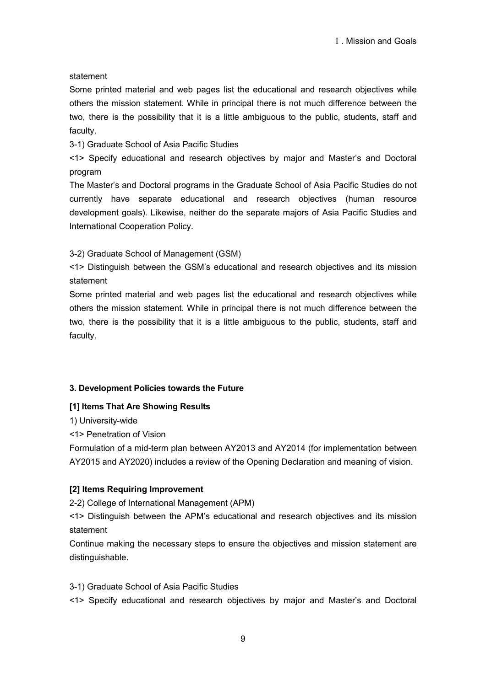### statement

Some printed material and web pages list the educational and research objectives while others the mission statement. While in principal there is not much difference between the two, there is the possibility that it is a little ambiguous to the public, students, staff and faculty.

3-1) Graduate School of Asia Pacific Studies

<1> Specify educational and research objectives by major and Master's and Doctoral program

The Master's and Doctoral programs in the Graduate School of Asia Pacific Studies do not currently have separate educational and research objectives (human resource development goals). Likewise, neither do the separate majors of Asia Pacific Studies and International Cooperation Policy.

3-2) Graduate School of Management (GSM)

<1> Distinguish between the GSM's educational and research objectives and its mission statement

Some printed material and web pages list the educational and research objectives while others the mission statement. While in principal there is not much difference between the two, there is the possibility that it is a little ambiguous to the public, students, staff and faculty.

# **3. Development Policies towards the Future**

# **[1] Items That Are Showing Results**

1) University-wide

<1> Penetration of Vision

Formulation of a mid-term plan between AY2013 and AY2014 (for implementation between AY2015 and AY2020) includes a review of the Opening Declaration and meaning of vision.

# **[2] Items Requiring Improvement**

2-2) College of International Management (APM)

<1> Distinguish between the APM's educational and research objectives and its mission statement

Continue making the necessary steps to ensure the objectives and mission statement are distinguishable.

3-1) Graduate School of Asia Pacific Studies

<1> Specify educational and research objectives by major and Master's and Doctoral